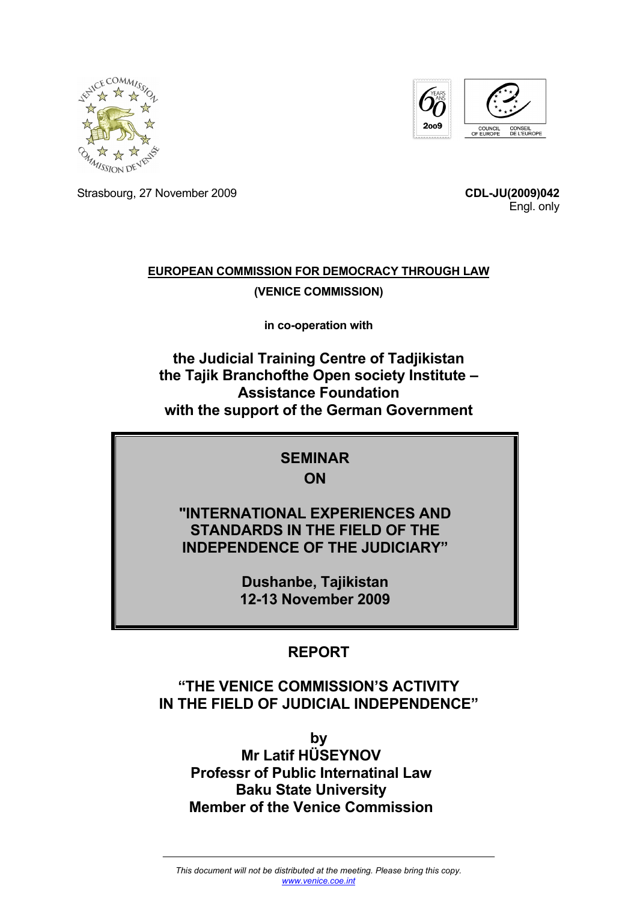



Strasbourg, 27 November 2009 **CDL-JU(2009)042**

Engl. only

# **EUROPEAN COMMISSION FOR DEMOCRACY THROUGH LAW (VENICE COMMISSION)**

**in co-operation with** 

**the Judicial Training Centre of Tadjikistan the Tajik Branchofthe Open society Institute – Assistance Foundation with the support of the German Government** 

#### **SEMINAR ON**

### **"INTERNATIONAL EXPERIENCES AND STANDARDS IN THE FIELD OF THE INDEPENDENCE OF THE JUDICIARY"**

**Dushanbe, Tajikistan 12-13 November 2009** 

# **REPORT**

# **"THE VENICE COMMISSION'S ACTIVITY IN THE FIELD OF JUDICIAL INDEPENDENCE"**

**by Mr Latif HÜSEYNOV Professr of Public Internatinal Law Baku State University Member of the Venice Commission**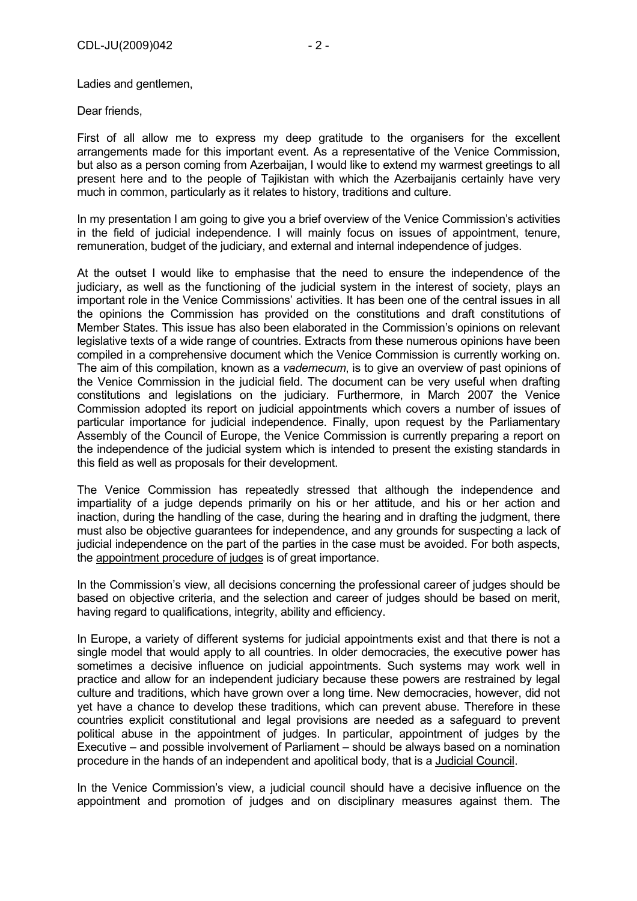Ladies and gentlemen,

Dear friends,

First of all allow me to express my deep gratitude to the organisers for the excellent arrangements made for this important event. As a representative of the Venice Commission, but also as a person coming from Azerbaijan, I would like to extend my warmest greetings to all present here and to the people of Tajikistan with which the Azerbaijanis certainly have very much in common, particularly as it relates to history, traditions and culture.

In my presentation I am going to give you a brief overview of the Venice Commission's activities in the field of judicial independence. I will mainly focus on issues of appointment, tenure, remuneration, budget of the judiciary, and external and internal independence of judges.

At the outset I would like to emphasise that the need to ensure the independence of the judiciary, as well as the functioning of the judicial system in the interest of society, plays an important role in the Venice Commissions' activities. It has been one of the central issues in all the opinions the Commission has provided on the constitutions and draft constitutions of Member States. This issue has also been elaborated in the Commission's opinions on relevant legislative texts of a wide range of countries. Extracts from these numerous opinions have been compiled in a comprehensive document which the Venice Commission is currently working on. The aim of this compilation, known as a *vademecum*, is to give an overview of past opinions of the Venice Commission in the judicial field. The document can be very useful when drafting constitutions and legislations on the judiciary. Furthermore, in March 2007 the Venice Commission adopted its report on judicial appointments which covers a number of issues of particular importance for judicial independence. Finally, upon request by the Parliamentary Assembly of the Council of Europe, the Venice Commission is currently preparing a report on the independence of the judicial system which is intended to present the existing standards in this field as well as proposals for their development.

The Venice Commission has repeatedly stressed that although the independence and impartiality of a judge depends primarily on his or her attitude, and his or her action and inaction, during the handling of the case, during the hearing and in drafting the judgment, there must also be objective guarantees for independence, and any grounds for suspecting a lack of judicial independence on the part of the parties in the case must be avoided. For both aspects, the appointment procedure of judges is of great importance.

In the Commission's view, all decisions concerning the professional career of judges should be based on objective criteria, and the selection and career of judges should be based on merit, having regard to qualifications, integrity, ability and efficiency.

In Europe, a variety of different systems for judicial appointments exist and that there is not a single model that would apply to all countries. In older democracies, the executive power has sometimes a decisive influence on judicial appointments. Such systems may work well in practice and allow for an independent judiciary because these powers are restrained by legal culture and traditions, which have grown over a long time. New democracies, however, did not yet have a chance to develop these traditions, which can prevent abuse. Therefore in these countries explicit constitutional and legal provisions are needed as a safeguard to prevent political abuse in the appointment of judges. In particular, appointment of judges by the Executive – and possible involvement of Parliament – should be always based on a nomination procedure in the hands of an independent and apolitical body, that is a Judicial Council.

In the Venice Commission's view, a judicial council should have a decisive influence on the appointment and promotion of judges and on disciplinary measures against them. The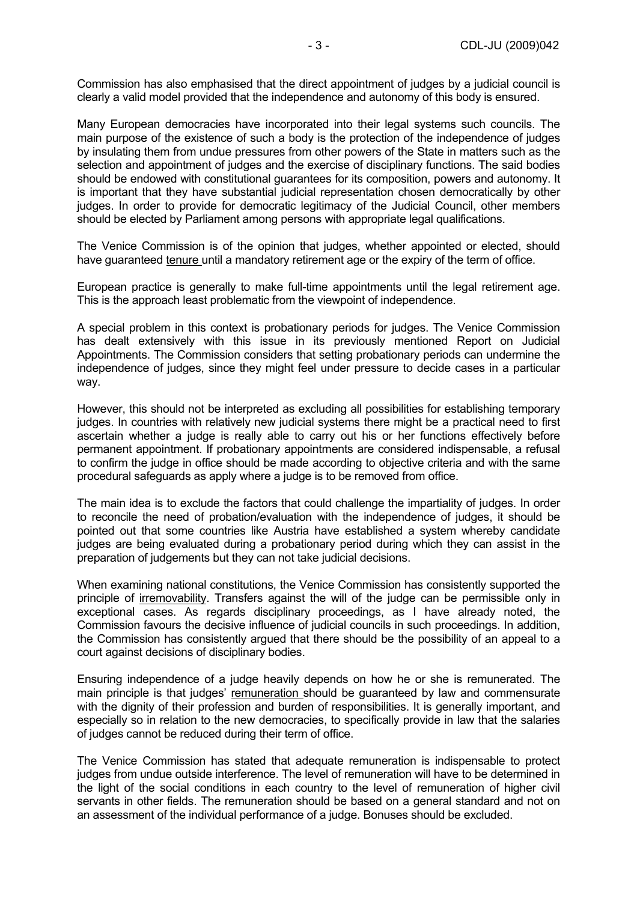Commission has also emphasised that the direct appointment of judges by a judicial council is clearly a valid model provided that the independence and autonomy of this body is ensured.

Many European democracies have incorporated into their legal systems such councils. The main purpose of the existence of such a body is the protection of the independence of judges by insulating them from undue pressures from other powers of the State in matters such as the selection and appointment of judges and the exercise of disciplinary functions. The said bodies should be endowed with constitutional guarantees for its composition, powers and autonomy. It is important that they have substantial judicial representation chosen democratically by other judges. In order to provide for democratic legitimacy of the Judicial Council, other members should be elected by Parliament among persons with appropriate legal qualifications.

The Venice Commission is of the opinion that judges, whether appointed or elected, should have guaranteed tenure until a mandatory retirement age or the expiry of the term of office.

European practice is generally to make full-time appointments until the legal retirement age. This is the approach least problematic from the viewpoint of independence.

A special problem in this context is probationary periods for judges. The Venice Commission has dealt extensively with this issue in its previously mentioned Report on Judicial Appointments. The Commission considers that setting probationary periods can undermine the independence of judges, since they might feel under pressure to decide cases in a particular way.

However, this should not be interpreted as excluding all possibilities for establishing temporary judges. In countries with relatively new judicial systems there might be a practical need to first ascertain whether a judge is really able to carry out his or her functions effectively before permanent appointment. If probationary appointments are considered indispensable, a refusal to confirm the judge in office should be made according to objective criteria and with the same procedural safeguards as apply where a judge is to be removed from office.

The main idea is to exclude the factors that could challenge the impartiality of judges. In order to reconcile the need of probation/evaluation with the independence of judges, it should be pointed out that some countries like Austria have established a system whereby candidate judges are being evaluated during a probationary period during which they can assist in the preparation of judgements but they can not take judicial decisions.

When examining national constitutions, the Venice Commission has consistently supported the principle of irremovability. Transfers against the will of the judge can be permissible only in exceptional cases. As regards disciplinary proceedings, as I have already noted, the Commission favours the decisive influence of judicial councils in such proceedings. In addition, the Commission has consistently argued that there should be the possibility of an appeal to a court against decisions of disciplinary bodies.

Ensuring independence of a judge heavily depends on how he or she is remunerated. The main principle is that judges' remuneration should be guaranteed by law and commensurate with the dignity of their profession and burden of responsibilities. It is generally important, and especially so in relation to the new democracies, to specifically provide in law that the salaries of judges cannot be reduced during their term of office.

The Venice Commission has stated that adequate remuneration is indispensable to protect judges from undue outside interference. The level of remuneration will have to be determined in the light of the social conditions in each country to the level of remuneration of higher civil servants in other fields. The remuneration should be based on a general standard and not on an assessment of the individual performance of a judge. Bonuses should be excluded.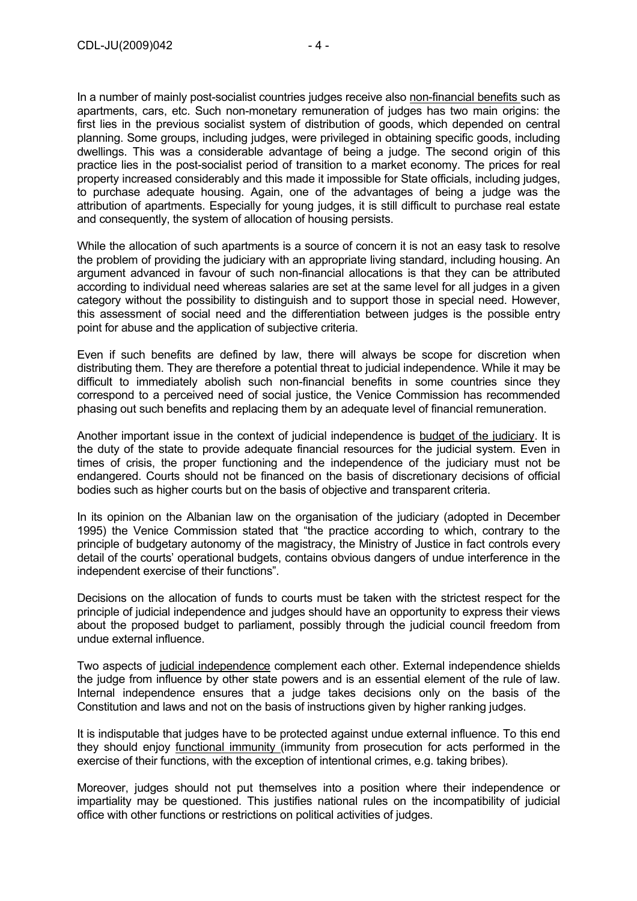In a number of mainly post-socialist countries judges receive also non-financial benefits such as apartments, cars, etc. Such non-monetary remuneration of judges has two main origins: the first lies in the previous socialist system of distribution of goods, which depended on central planning. Some groups, including judges, were privileged in obtaining specific goods, including dwellings. This was a considerable advantage of being a judge. The second origin of this practice lies in the post-socialist period of transition to a market economy. The prices for real property increased considerably and this made it impossible for State officials, including judges, to purchase adequate housing. Again, one of the advantages of being a judge was the attribution of apartments. Especially for young judges, it is still difficult to purchase real estate and consequently, the system of allocation of housing persists.

While the allocation of such apartments is a source of concern it is not an easy task to resolve the problem of providing the judiciary with an appropriate living standard, including housing. An argument advanced in favour of such non-financial allocations is that they can be attributed according to individual need whereas salaries are set at the same level for all judges in a given category without the possibility to distinguish and to support those in special need. However, this assessment of social need and the differentiation between judges is the possible entry point for abuse and the application of subjective criteria.

Even if such benefits are defined by law, there will always be scope for discretion when distributing them. They are therefore a potential threat to judicial independence. While it may be difficult to immediately abolish such non-financial benefits in some countries since they correspond to a perceived need of social justice, the Venice Commission has recommended phasing out such benefits and replacing them by an adequate level of financial remuneration.

Another important issue in the context of judicial independence is budget of the judiciary. It is the duty of the state to provide adequate financial resources for the judicial system. Even in times of crisis, the proper functioning and the independence of the judiciary must not be endangered. Courts should not be financed on the basis of discretionary decisions of official bodies such as higher courts but on the basis of objective and transparent criteria.

In its opinion on the Albanian law on the organisation of the judiciary (adopted in December 1995) the Venice Commission stated that "the practice according to which, contrary to the principle of budgetary autonomy of the magistracy, the Ministry of Justice in fact controls every detail of the courts' operational budgets, contains obvious dangers of undue interference in the independent exercise of their functions".

Decisions on the allocation of funds to courts must be taken with the strictest respect for the principle of judicial independence and judges should have an opportunity to express their views about the proposed budget to parliament, possibly through the judicial council freedom from undue external influence.

Two aspects of judicial independence complement each other. External independence shields the judge from influence by other state powers and is an essential element of the rule of law. Internal independence ensures that a judge takes decisions only on the basis of the Constitution and laws and not on the basis of instructions given by higher ranking judges.

It is indisputable that judges have to be protected against undue external influence. To this end they should enjoy functional immunity (immunity from prosecution for acts performed in the exercise of their functions, with the exception of intentional crimes, e.g. taking bribes).

Moreover, judges should not put themselves into a position where their independence or impartiality may be questioned. This justifies national rules on the incompatibility of judicial office with other functions or restrictions on political activities of judges.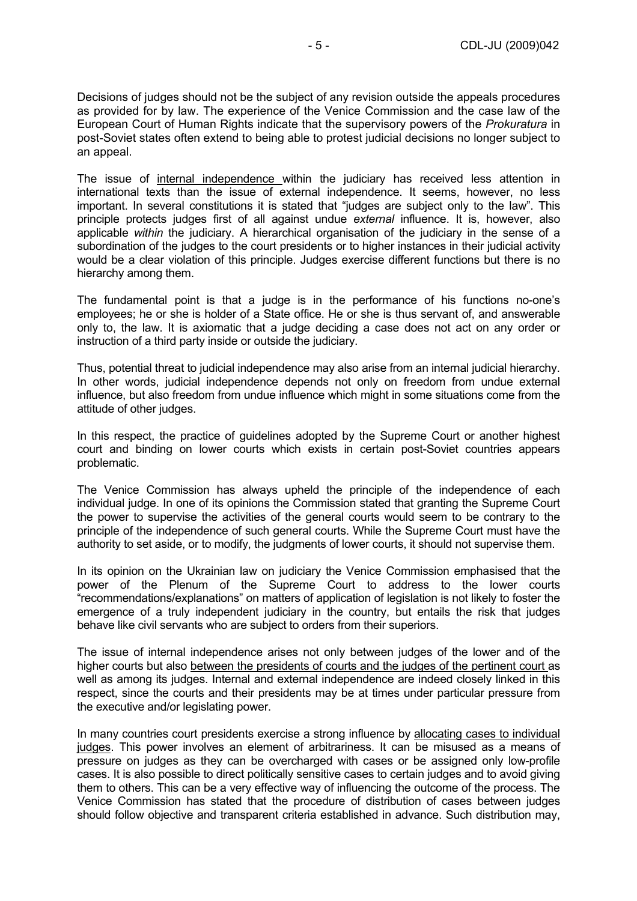Decisions of judges should not be the subject of any revision outside the appeals procedures as provided for by law. The experience of the Venice Commission and the case law of the European Court of Human Rights indicate that the supervisory powers of the *Prokuratura* in post-Soviet states often extend to being able to protest judicial decisions no longer subject to an appeal.

The issue of internal independence within the judiciary has received less attention in international texts than the issue of external independence. It seems, however, no less important. In several constitutions it is stated that "judges are subject only to the law". This principle protects judges first of all against undue *external* influence. It is, however, also applicable *within* the judiciary. A hierarchical organisation of the judiciary in the sense of a subordination of the judges to the court presidents or to higher instances in their judicial activity would be a clear violation of this principle. Judges exercise different functions but there is no hierarchy among them.

The fundamental point is that a judge is in the performance of his functions no-one's employees; he or she is holder of a State office. He or she is thus servant of, and answerable only to, the law. It is axiomatic that a judge deciding a case does not act on any order or instruction of a third party inside or outside the judiciary.

Thus, potential threat to judicial independence may also arise from an internal judicial hierarchy. In other words, judicial independence depends not only on freedom from undue external influence, but also freedom from undue influence which might in some situations come from the attitude of other judges.

In this respect, the practice of guidelines adopted by the Supreme Court or another highest court and binding on lower courts which exists in certain post-Soviet countries appears problematic.

The Venice Commission has always upheld the principle of the independence of each individual judge. In one of its opinions the Commission stated that granting the Supreme Court the power to supervise the activities of the general courts would seem to be contrary to the principle of the independence of such general courts. While the Supreme Court must have the authority to set aside, or to modify, the judgments of lower courts, it should not supervise them.

In its opinion on the Ukrainian law on judiciary the Venice Commission emphasised that the power of the Plenum of the Supreme Court to address to the lower courts "recommendations/explanations" on matters of application of legislation is not likely to foster the emergence of a truly independent judiciary in the country, but entails the risk that judges behave like civil servants who are subject to orders from their superiors.

The issue of internal independence arises not only between judges of the lower and of the higher courts but also between the presidents of courts and the judges of the pertinent court as well as among its judges. Internal and external independence are indeed closely linked in this respect, since the courts and their presidents may be at times under particular pressure from the executive and/or legislating power.

In many countries court presidents exercise a strong influence by allocating cases to individual judges. This power involves an element of arbitrariness. It can be misused as a means of pressure on judges as they can be overcharged with cases or be assigned only low-profile cases. It is also possible to direct politically sensitive cases to certain judges and to avoid giving them to others. This can be a very effective way of influencing the outcome of the process. The Venice Commission has stated that the procedure of distribution of cases between judges should follow objective and transparent criteria established in advance. Such distribution may,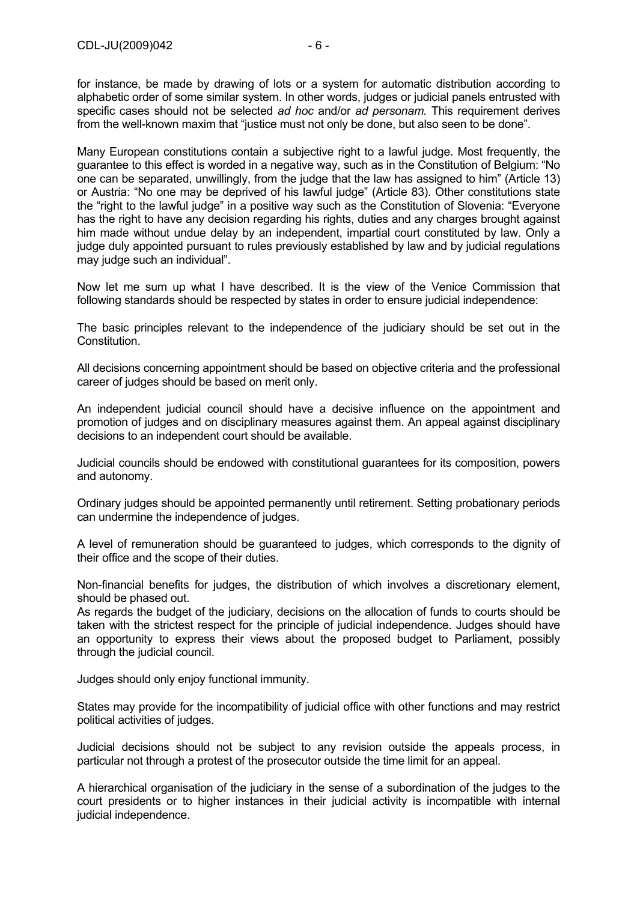for instance, be made by drawing of lots or a system for automatic distribution according to alphabetic order of some similar system. In other words, judges or judicial panels entrusted with specific cases should not be selected *ad hoc* and/or *ad personam.* This requirement derives from the well-known maxim that "justice must not only be done, but also seen to be done".

Many European constitutions contain a subjective right to a lawful judge. Most frequently, the guarantee to this effect is worded in a negative way, such as in the Constitution of Belgium: "No one can be separated, unwillingly, from the judge that the law has assigned to him" (Article 13) or Austria: "No one may be deprived of his lawful judge" (Article 83). Other constitutions state the "right to the lawful judge" in a positive way such as the Constitution of Slovenia: "Everyone has the right to have any decision regarding his rights, duties and any charges brought against him made without undue delay by an independent, impartial court constituted by law. Only a judge duly appointed pursuant to rules previously established by law and by judicial regulations may judge such an individual".

Now let me sum up what I have described. It is the view of the Venice Commission that following standards should be respected by states in order to ensure judicial independence:

The basic principles relevant to the independence of the judiciary should be set out in the Constitution.

All decisions concerning appointment should be based on objective criteria and the professional career of judges should be based on merit only.

An independent judicial council should have a decisive influence on the appointment and promotion of judges and on disciplinary measures against them. An appeal against disciplinary decisions to an independent court should be available.

Judicial councils should be endowed with constitutional guarantees for its composition, powers and autonomy.

Ordinary judges should be appointed permanently until retirement. Setting probationary periods can undermine the independence of judges.

A level of remuneration should be guaranteed to judges, which corresponds to the dignity of their office and the scope of their duties.

Non-financial benefits for judges, the distribution of which involves a discretionary element, should be phased out.

As regards the budget of the judiciary, decisions on the allocation of funds to courts should be taken with the strictest respect for the principle of judicial independence. Judges should have an opportunity to express their views about the proposed budget to Parliament, possibly through the judicial council.

Judges should only enjoy functional immunity.

States may provide for the incompatibility of judicial office with other functions and may restrict political activities of judges.

Judicial decisions should not be subject to any revision outside the appeals process, in particular not through a protest of the prosecutor outside the time limit for an appeal.

A hierarchical organisation of the judiciary in the sense of a subordination of the judges to the court presidents or to higher instances in their judicial activity is incompatible with internal judicial independence.